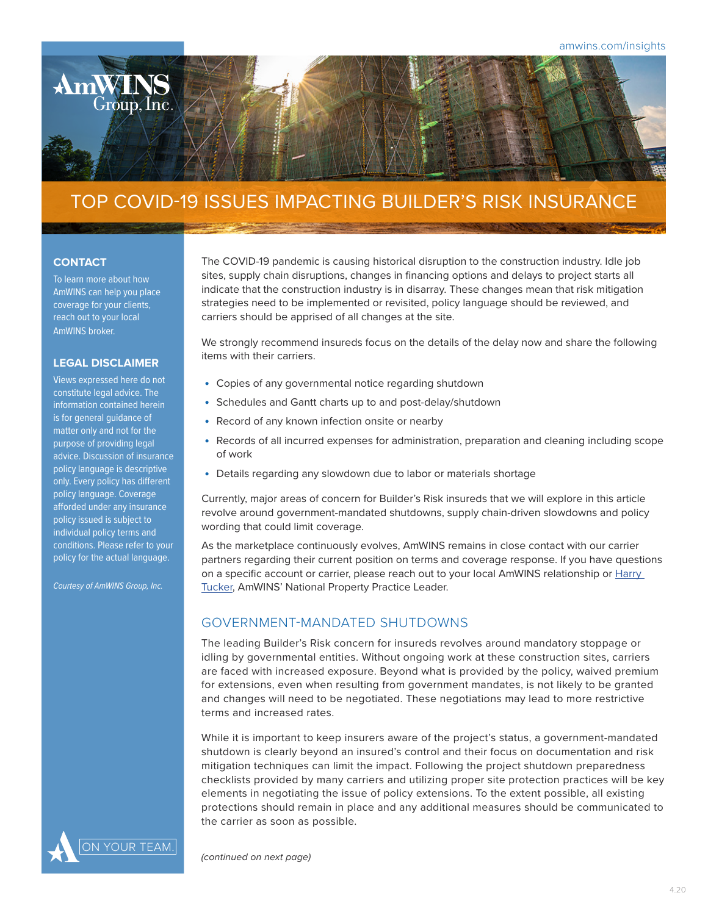

# TOP COVID-19 ISSUES IMPACTING BUILDER'S RISK INSURANCE

### **CONTACT**

To learn more about how AmWINS can help you place coverage for your clients, reach out to your local AmWINS broker.

#### **LEGAL DISCLAIMER**

Views expressed here do not constitute legal advice. The information contained herein is for general guidance of matter only and not for the purpose of providing legal advice. Discussion of insurance policy language is descriptive only. Every policy has different policy language. Coverage afforded under any insurance policy issued is subject to individual policy terms and conditions. Please refer to your policy for the actual language.

*Courtesy of AmWINS Group, Inc.*

The COVID-19 pandemic is causing historical disruption to the construction industry. Idle job sites, supply chain disruptions, changes in financing options and delays to project starts all indicate that the construction industry is in disarray. These changes mean that risk mitigation strategies need to be implemented or revisited, policy language should be reviewed, and carriers should be apprised of all changes at the site.

We strongly recommend insureds focus on the details of the delay now and share the following items with their carriers.

- Copies of any governmental notice regarding shutdown
- Schedules and Gantt charts up to and post-delay/shutdown
- Record of any known infection onsite or nearby
- Records of all incurred expenses for administration, preparation and cleaning including scope of work
- Details regarding any slowdown due to labor or materials shortage

Currently, major areas of concern for Builder's Risk insureds that we will explore in this article revolve around government-mandated shutdowns, supply chain-driven slowdowns and policy wording that could limit coverage.

As the marketplace continuously evolves, AmWINS remains in close contact with our carrier partners regarding their current position on terms and coverage response. If you have questions on a specific account or carrier, please reach out to your local AmWINS relationship or [Harry](mailto:harry.tucker%40amwins.com?subject=Builder%27s%20Risk%20COVID-19)  [Tucker](mailto:harry.tucker%40amwins.com?subject=Builder%27s%20Risk%20COVID-19), AmWINS' National Property Practice Leader.

# GOVERNMENT-MANDATED SHUTDOWNS

The leading Builder's Risk concern for insureds revolves around mandatory stoppage or idling by governmental entities. Without ongoing work at these construction sites, carriers are faced with increased exposure. Beyond what is provided by the policy, waived premium for extensions, even when resulting from government mandates, is not likely to be granted and changes will need to be negotiated. These negotiations may lead to more restrictive terms and increased rates.

While it is important to keep insurers aware of the project's status, a government-mandated shutdown is clearly beyond an insured's control and their focus on documentation and risk mitigation techniques can limit the impact. Following the project shutdown preparedness checklists provided by many carriers and utilizing proper site protection practices will be key elements in negotiating the issue of policy extensions. To the extent possible, all existing protections should remain in place and any additional measures should be communicated to the carrier as soon as possible.



*(continued on next page)*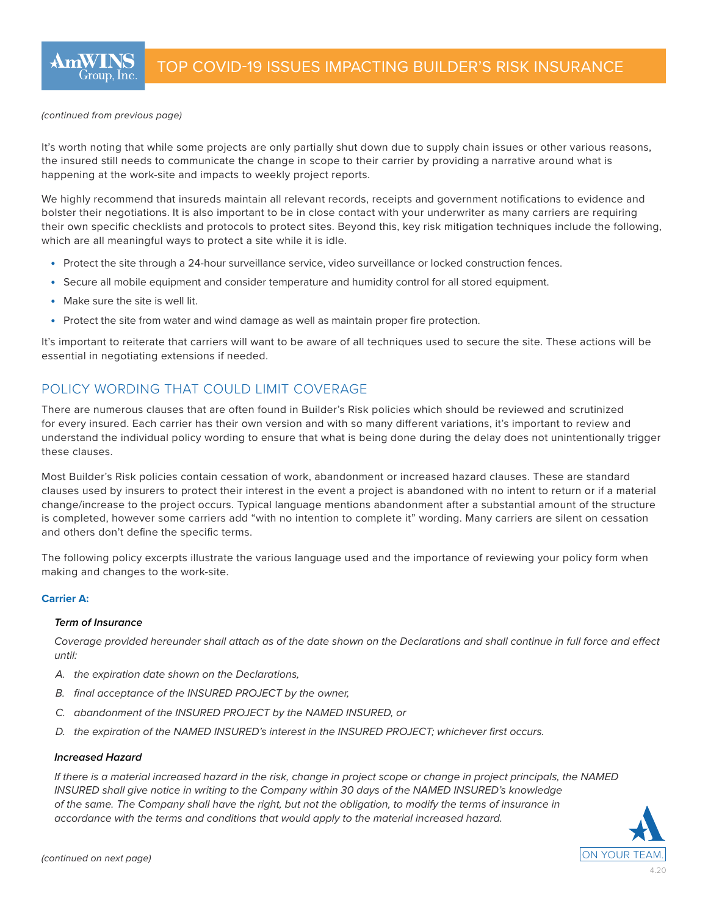#### *(continued from previous page)*

It's worth noting that while some projects are only partially shut down due to supply chain issues or other various reasons, the insured still needs to communicate the change in scope to their carrier by providing a narrative around what is happening at the work-site and impacts to weekly project reports.

We highly recommend that insureds maintain all relevant records, receipts and government notifications to evidence and bolster their negotiations. It is also important to be in close contact with your underwriter as many carriers are requiring their own specific checklists and protocols to protect sites. Beyond this, key risk mitigation techniques include the following, which are all meaningful ways to protect a site while it is idle.

- Protect the site through a 24-hour surveillance service, video surveillance or locked construction fences.
- Secure all mobile equipment and consider temperature and humidity control for all stored equipment.
- Make sure the site is well lit.
- Protect the site from water and wind damage as well as maintain proper fire protection.

It's important to reiterate that carriers will want to be aware of all techniques used to secure the site. These actions will be essential in negotiating extensions if needed.

# POLICY WORDING THAT COULD LIMIT COVERAGE

There are numerous clauses that are often found in Builder's Risk policies which should be reviewed and scrutinized for every insured. Each carrier has their own version and with so many different variations, it's important to review and understand the individual policy wording to ensure that what is being done during the delay does not unintentionally trigger these clauses.

Most Builder's Risk policies contain cessation of work, abandonment or increased hazard clauses. These are standard clauses used by insurers to protect their interest in the event a project is abandoned with no intent to return or if a material change/increase to the project occurs. Typical language mentions abandonment after a substantial amount of the structure is completed, however some carriers add "with no intention to complete it" wording. Many carriers are silent on cessation and others don't define the specific terms.

The following policy excerpts illustrate the various language used and the importance of reviewing your policy form when making and changes to the work-site.

### **Carrier A:**

### *Term of Insurance*

*Coverage provided hereunder shall attach as of the date shown on the Declarations and shall continue in full force and effect until:*

- *A. the expiration date shown on the Declarations,*
- *B. final acceptance of the INSURED PROJECT by the owner,*
- *C. abandonment of the INSURED PROJECT by the NAMED INSURED, or*
- *D. the expiration of the NAMED INSURED's interest in the INSURED PROJECT; whichever first occurs.*

#### *Increased Hazard*

*If there is a material increased hazard in the risk, change in project scope or change in project principals, the NAMED INSURED shall give notice in writing to the Company within 30 days of the NAMED INSURED's knowledge of the same. The Company shall have the right, but not the obligation, to modify the terms of insurance in accordance with the terms and conditions that would apply to the material increased hazard.*